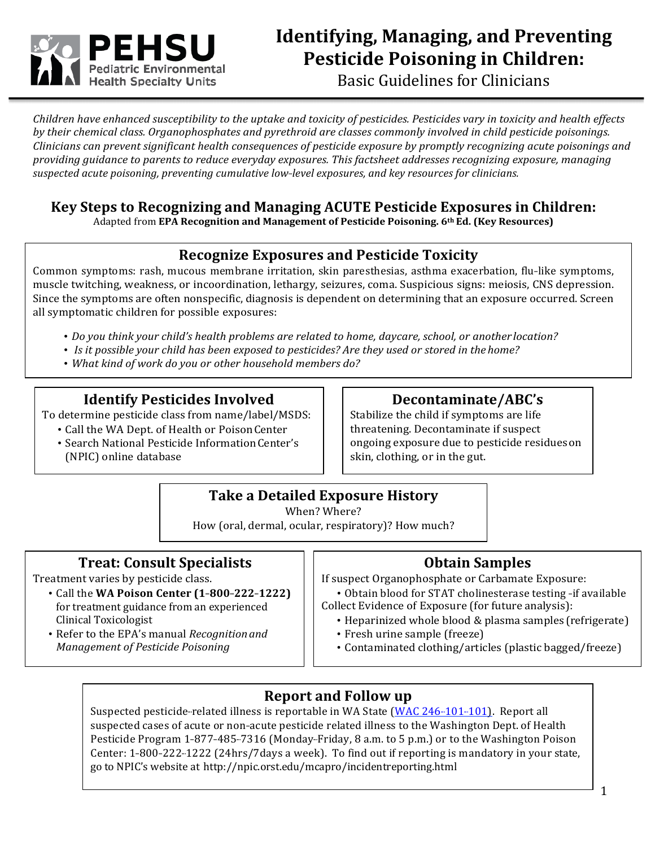

# **Identifying, Managing, and Preventing Pesticide Poisoning in Children:**

Basic Guidelines for Clinicians

*Children have enhanced susceptibility to the uptake and toxicity of pesticides. Pesticides vary in toxicity and health effects* by their chemical class. Organophosphates and pyrethroid are classes commonly involved in child pesticide poisonings. *Clinicians* can prevent significant health consequences of pesticide exposure by promptly recognizing acute poisonings and providing guidance to parents to reduce everyday exposures. This factsheet addresses recognizing exposure, managing *suspected acute poisoning, preventing cumulative low---level exposures, and key resources for clinicians.*

### **Key Steps to Recognizing and Managing ACUTE Pesticide Exposures in Children:**

Adapted from EPA Recognition and Management of Pesticide Poisoning. 6<sup>th</sup> Ed. (Key Resources)

# **Recognize Exposures and Pesticide Toxicity**

Common symptoms: rash, mucous membrane irritation, skin paresthesias, asthma exacerbation, flu-like symptoms, muscle twitching, weakness, or incoordination, lethargy, seizures, coma. Suspicious signs: meiosis, CNS depression. Since the symptoms are often nonspecific, diagnosis is dependent on determining that an exposure occurred. Screen all symptomatic children for possible exposures:

- Do you think your child's health problems are related to home, daycare, school, or another *location*?
- Is it possible your child has been exposed to pesticides? Are they used or stored in the home?
- *What kind of work do you or other household members do?*

### **Identify Pesticides Involved**

To determine pesticide class from name/label/MSDS:

- Call the WA Dept. of Health or Poison Center
- Search National Pesticide Information Center's (NPIC) online database

# **Decontaminate/ABC's**

Stabilize the child if symptoms are life threatening. Decontaminate if suspect ongoing exposure due to pesticide residues on skin, clothing, or in the gut.

### **Take a Detailed Exposure History**

When? Where?

How (oral, dermal, ocular, respiratory)? How much?

### **Treat: Consult Specialists**

Treatment varies by pesticide class.

- Call the WA Poison Center (1-800-222-1222) for treatment guidance from an experienced Clinical Toxicologist
- Refer to the EPA's manual *Recognition and Management of Pesticide Poisoning*

### **Obtain Samples**

If suspect Organophosphate or Carbamate Exposure:

- Obtain blood for STAT cholinesterase testing -if available Collect Evidence of Exposure (for future analysis):
	- Heparinized whole blood & plasma samples (refrigerate)
	- Fresh urine sample (freeze)
	- Contaminated clothing/articles (plastic bagged/freeze)

# **Report and Follow up**

Suspected pesticide-related illness is reportable in WA State (WAC 246-101-101). Report all suspected cases of acute or non-acute pesticide related illness to the Washington Dept. of Health Pesticide Program 1-877-485-7316 (Monday-Friday, 8 a.m. to 5 p.m.) or to the Washington Poison Center: 1-800-222-1222 (24hrs/7days a week). To find out if reporting is mandatory in your state, go to NPIC's website at http://npic.orst.edu/mcapro/incidentreporting.html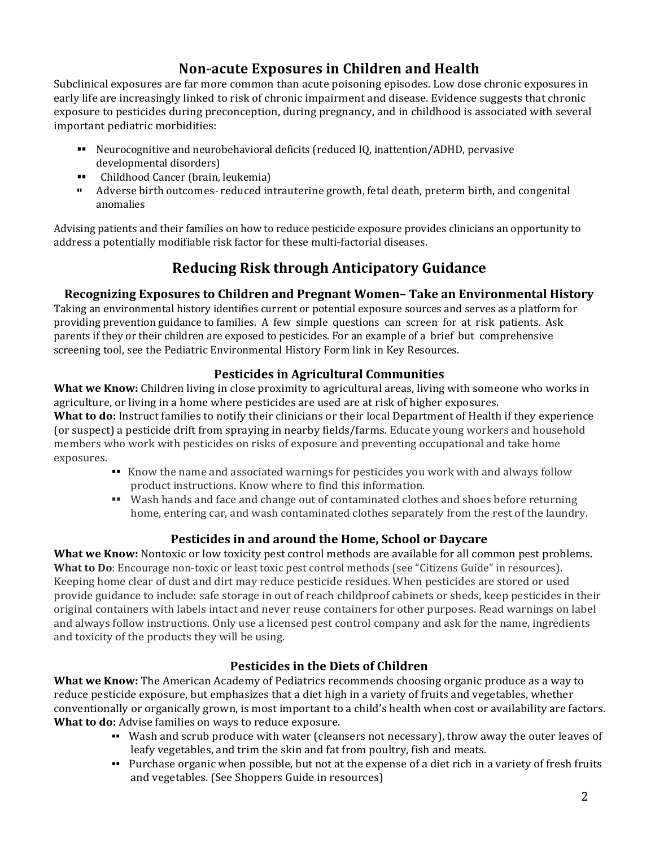### **Non-acute Exposures** in Children and Health

Subclinical exposures are far more common than acute poisoning episodes. Low dose chronic exposures in early life are increasingly linked to risk of chronic impairment and disease. Evidence suggests that chronic exposure to pesticides during preconception, during pregnancy, and in childhood is associated with several important pediatric morbidities:

- ■■ Neurocognitive and neurobehavioral deficits (reduced IQ, inattention/ADHD, pervasive developmental disorders)
- ■■ Childhood Cancer (brain, leukemia)
- <sup>11</sup> Adverse birth outcomes-reduced intrauterine growth, fetal death, preterm birth, and congenital anomalies

Advising patients and their families on how to reduce pesticide exposure provides clinicians an opportunity to address a potentially modifiable risk factor for these multi-factorial diseases.

# **Reducing Risk through Anticipatory Guidance**

### **Recognizing Exposures to Children and Pregnant Women-Take an Environmental History**

Taking an environmental history identifies current or potential exposure sources and serves as a platform for providing prevention guidance to families. A few simple questions can screen for at risk patients. Ask parents if they or their children are exposed to pesticides. For an example of a brief but comprehensive screening tool, see the Pediatric Environmental History Form link in Key Resources.

### **Pesticides in Agricultural Communities**

**What we Know:** Children living in close proximity to agricultural areas, living with someone who works in agriculture, or living in a home where pesticides are used are at risk of higher exposures.

**What to do:** Instruct families to notify their clinicians or their local Department of Health if they experience (or suspect) a pesticide drift from spraying in nearby fields/farms. Educate young workers and household members who work with pesticides on risks of exposure and preventing occupational and take home exposures.

- Know the name and associated warnings for pesticides you work with and always follow product instructions. Know where to find this information.
- ■■ Wash hands and face and change out of contaminated clothes and shoes before returning home, entering car, and wash contaminated clothes separately from the rest of the laundry.

### **Pesticides in and around the Home, School or Daycare**

**What we Know:** Nontoxic or low toxicity pest control methods are available for all common pest problems. **What to Do**: Encourage non-toxic or least toxic pest control methods (see "Citizens Guide" in resources). Keeping home clear of dust and dirt may reduce pesticide residues. When pesticides are stored or used provide guidance to include: safe storage in out of reach childproof cabinets or sheds, keep pesticides in their original containers with labels intact and never reuse containers for other purposes. Read warnings on label and always follow instructions. Only use a licensed pest control company and ask for the name, ingredients and toxicity of the products they will be using.

### **Pesticides in the Diets of Children**

**What we Know:** The American Academy of Pediatrics recommends choosing organic produce as a way to reduce pesticide exposure, but emphasizes that a diet high in a variety of fruits and vegetables, whether conventionally or organically grown, is most important to a child's health when cost or availability are factors. **What to do:** Advise families on ways to reduce exposure.

- Wash and scrub produce with water (cleansers not necessary), throw away the outer leaves of leafy vegetables, and trim the skin and fat from poultry, fish and meats.
- Purchase organic when possible, but not at the expense of a diet rich in a variety of fresh fruits and vegetables. (See Shoppers Guide in resources)